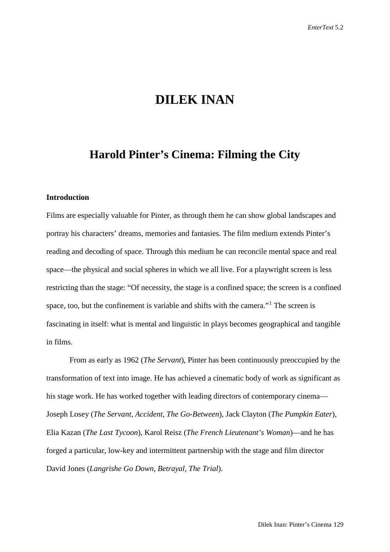# **DILEK INAN**

## **Harold Pinter's Cinema: Filming the City**

## **Introduction**

Films are especially valuable for Pinter, as through them he can show global landscapes and portray his characters' dreams, memories and fantasies. The film medium extends Pinter's reading and decoding of space. Through this medium he can reconcile mental space and real space—the physical and social spheres in which we all live. For a playwright screen is less restricting than the stage: "Of necessity, the stage is a confined space; the screen is a confined space, too, but the confinement is variable and shifts with the camera."<sup>[1](#page-27-0)</sup> The screen is fascinating in itself: what is mental and linguistic in plays becomes geographical and tangible in films.

From as early as 1962 (*The Servant*), Pinter has been continuously preoccupied by the transformation of text into image. He has achieved a cinematic body of work as significant as his stage work. He has worked together with leading directors of contemporary cinema— Joseph Losey (*The Servant*, *Accident*, *The Go-Between*), Jack Clayton (*The Pumpkin Eater*), Elia Kazan (*The Last Tycoon*), Karol Reisz (*The French Lieutenant's Woman*)—and he has forged a particular, low-key and intermittent partnership with the stage and film director David Jones (*Langrishe Go Down*, *Betrayal*, *The Trial*).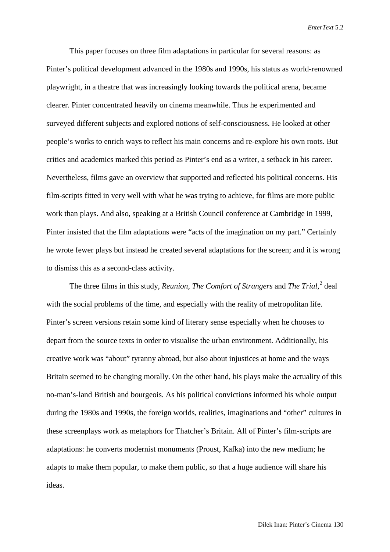This paper focuses on three film adaptations in particular for several reasons: as Pinter's political development advanced in the 1980s and 1990s, his status as world-renowned playwright, in a theatre that was increasingly looking towards the political arena, became clearer. Pinter concentrated heavily on cinema meanwhile. Thus he experimented and surveyed different subjects and explored notions of self-consciousness. He looked at other people's works to enrich ways to reflect his main concerns and re-explore his own roots. But critics and academics marked this period as Pinter's end as a writer, a setback in his career. Nevertheless, films gave an overview that supported and reflected his political concerns. His film-scripts fitted in very well with what he was trying to achieve, for films are more public work than plays. And also, speaking at a British Council conference at Cambridge in 1999, Pinter insisted that the film adaptations were "acts of the imagination on my part." Certainly he wrote fewer plays but instead he created several adaptations for the screen; and it is wrong to dismiss this as a second-class activity.

The three films in this study, *Reunion, The Comfort of Strangers* and *The Trial,* [2](#page-27-1) deal with the social problems of the time, and especially with the reality of metropolitan life. Pinter's screen versions retain some kind of literary sense especially when he chooses to depart from the source texts in order to visualise the urban environment. Additionally, his creative work was "about" tyranny abroad, but also about injustices at home and the ways Britain seemed to be changing morally. On the other hand, his plays make the actuality of this no-man's-land British and bourgeois. As his political convictions informed his whole output during the 1980s and 1990s, the foreign worlds, realities, imaginations and "other" cultures in these screenplays work as metaphors for Thatcher's Britain. All of Pinter's film-scripts are adaptations: he converts modernist monuments (Proust, Kafka) into the new medium; he adapts to make them popular, to make them public, so that a huge audience will share his ideas.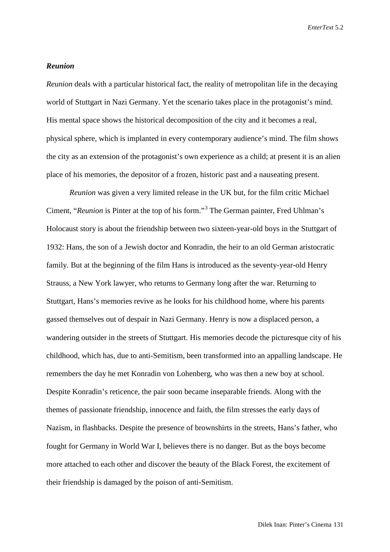#### *Reunion*

*Reunion* deals with a particular historical fact, the reality of metropolitan life in the decaying world of Stuttgart in Nazi Germany. Yet the scenario takes place in the protagonist's mind. His mental space shows the historical decomposition of the city and it becomes a real, physical sphere, which is implanted in every contemporary audience's mind. The film shows the city as an extension of the protagonist's own experience as a child; at present it is an alien place of his memories, the depositor of a frozen, historic past and a nauseating present.

*Reunion* was given a very limited release in the UK but, for the film critic Michael Ciment, "*Reunion* is Pinter at the top of his form."[3](#page-27-2) The German painter, Fred Uhlman's Holocaust story is about the friendship between two sixteen-year-old boys in the Stuttgart of 1932: Hans, the son of a Jewish doctor and Konradin, the heir to an old German aristocratic family. But at the beginning of the film Hans is introduced as the seventy-year-old Henry Strauss, a New York lawyer, who returns to Germany long after the war. Returning to Stuttgart, Hans's memories revive as he looks for his childhood home, where his parents gassed themselves out of despair in Nazi Germany. Henry is now a displaced person, a wandering outsider in the streets of Stuttgart. His memories decode the picturesque city of his childhood, which has, due to anti-Semitism, been transformed into an appalling landscape. He remembers the day he met Konradin von Lohenberg, who was then a new boy at school. Despite Konradin's reticence, the pair soon became inseparable friends. Along with the themes of passionate friendship, innocence and faith, the film stresses the early days of Nazism, in flashbacks. Despite the presence of brownshirts in the streets, Hans's father, who fought for Germany in World War I, believes there is no danger. But as the boys become more attached to each other and discover the beauty of the Black Forest, the excitement of their friendship is damaged by the poison of anti-Semitism.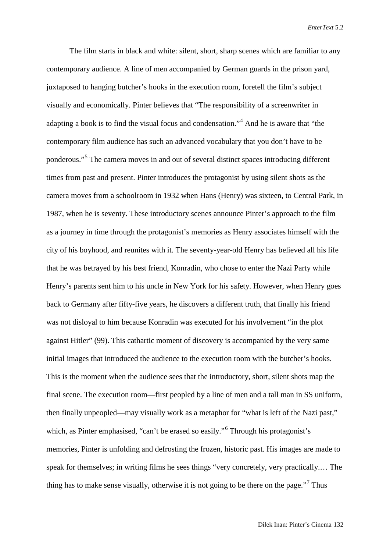The film starts in black and white: silent, short, sharp scenes which are familiar to any contemporary audience. A line of men accompanied by German guards in the prison yard, juxtaposed to hanging butcher's hooks in the execution room, foretell the film's subject visually and economically. Pinter believes that "The responsibility of a screenwriter in adapting a book is to find the visual focus and condensation."[4](#page-27-3) And he is aware that "the contemporary film audience has such an advanced vocabulary that you don't have to be ponderous."[5](#page-27-4) The camera moves in and out of several distinct spaces introducing different times from past and present. Pinter introduces the protagonist by using silent shots as the camera moves from a schoolroom in 1932 when Hans (Henry) was sixteen, to Central Park, in 1987, when he is seventy. These introductory scenes announce Pinter's approach to the film as a journey in time through the protagonist's memories as Henry associates himself with the city of his boyhood, and reunites with it. The seventy-year-old Henry has believed all his life that he was betrayed by his best friend, Konradin, who chose to enter the Nazi Party while Henry's parents sent him to his uncle in New York for his safety. However, when Henry goes back to Germany after fifty-five years, he discovers a different truth, that finally his friend was not disloyal to him because Konradin was executed for his involvement "in the plot against Hitler" (99). This cathartic moment of discovery is accompanied by the very same initial images that introduced the audience to the execution room with the butcher's hooks. This is the moment when the audience sees that the introductory, short, silent shots map the final scene. The execution room—first peopled by a line of men and a tall man in SS uniform, then finally unpeopled—may visually work as a metaphor for "what is left of the Nazi past," which, as Pinter emphasised, "can't be erased so easily."<sup>[6](#page-27-5)</sup> Through his protagonist's memories, Pinter is unfolding and defrosting the frozen, historic past. His images are made to speak for themselves; in writing films he sees things "very concretely, very practically.… The thing has to make sense visually, otherwise it is not going to be there on the page."<sup>[7](#page-27-6)</sup> Thus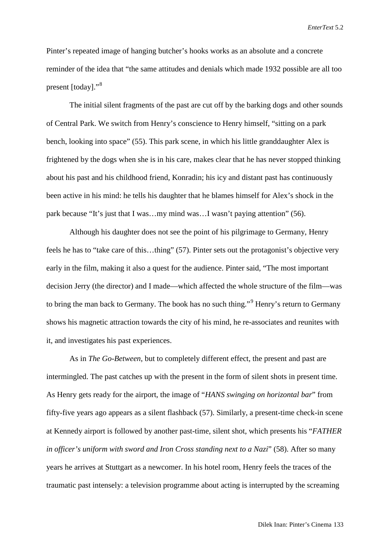Pinter's repeated image of hanging butcher's hooks works as an absolute and a concrete reminder of the idea that "the same attitudes and denials which made 1932 possible are all too present [today]."[8](#page-27-7)

The initial silent fragments of the past are cut off by the barking dogs and other sounds of Central Park. We switch from Henry's conscience to Henry himself, "sitting on a park bench, looking into space" (55). This park scene, in which his little granddaughter Alex is frightened by the dogs when she is in his care, makes clear that he has never stopped thinking about his past and his childhood friend, Konradin; his icy and distant past has continuously been active in his mind: he tells his daughter that he blames himself for Alex's shock in the park because "It's just that I was…my mind was…I wasn't paying attention" (56).

Although his daughter does not see the point of his pilgrimage to Germany, Henry feels he has to "take care of this…thing" (57). Pinter sets out the protagonist's objective very early in the film, making it also a quest for the audience. Pinter said, "The most important decision Jerry (the director) and I made—which affected the whole structure of the film—was to bring the man back to Germany. The book has no such thing."<sup>[9](#page-27-8)</sup> Henry's return to Germany shows his magnetic attraction towards the city of his mind, he re-associates and reunites with it, and investigates his past experiences.

As in *The Go-Between*, but to completely different effect, the present and past are intermingled. The past catches up with the present in the form of silent shots in present time. As Henry gets ready for the airport, the image of "*HANS swinging on horizontal bar*" from fifty-five years ago appears as a silent flashback (57). Similarly, a present-time check-in scene at Kennedy airport is followed by another past-time, silent shot, which presents his "*FATHER in officer's uniform with sword and Iron Cross standing next to a Nazi*" (58). After so many years he arrives at Stuttgart as a newcomer. In his hotel room, Henry feels the traces of the traumatic past intensely: a television programme about acting is interrupted by the screaming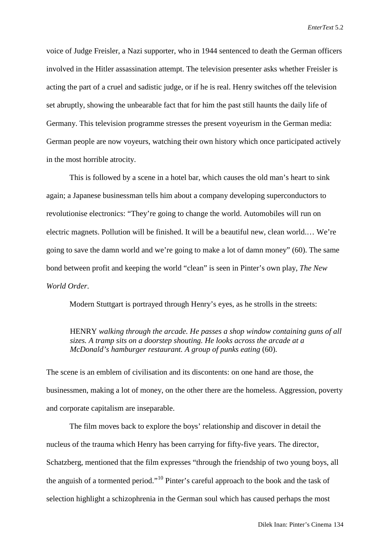voice of Judge Freisler, a Nazi supporter, who in 1944 sentenced to death the German officers involved in the Hitler assassination attempt. The television presenter asks whether Freisler is acting the part of a cruel and sadistic judge, or if he is real. Henry switches off the television set abruptly, showing the unbearable fact that for him the past still haunts the daily life of Germany. This television programme stresses the present voyeurism in the German media: German people are now voyeurs, watching their own history which once participated actively in the most horrible atrocity.

This is followed by a scene in a hotel bar, which causes the old man's heart to sink again; a Japanese businessman tells him about a company developing superconductors to revolutionise electronics: "They're going to change the world. Automobiles will run on electric magnets. Pollution will be finished. It will be a beautiful new, clean world.… We're going to save the damn world and we're going to make a lot of damn money" (60). The same bond between profit and keeping the world "clean" is seen in Pinter's own play, *The New World Order*.

Modern Stuttgart is portrayed through Henry's eyes, as he strolls in the streets:

## HENRY *walking through the arcade. He passes a shop window containing guns of all sizes. A tramp sits on a doorstep shouting. He looks across the arcade at a McDonald's hamburger restaurant. A group of punks eating* (60).

The scene is an emblem of civilisation and its discontents: on one hand are those, the businessmen, making a lot of money, on the other there are the homeless. Aggression, poverty and corporate capitalism are inseparable.

The film moves back to explore the boys' relationship and discover in detail the nucleus of the trauma which Henry has been carrying for fifty-five years. The director, Schatzberg, mentioned that the film expresses "through the friendship of two young boys, all the anguish of a tormented period."[10](#page-27-9) Pinter's careful approach to the book and the task of selection highlight a schizophrenia in the German soul which has caused perhaps the most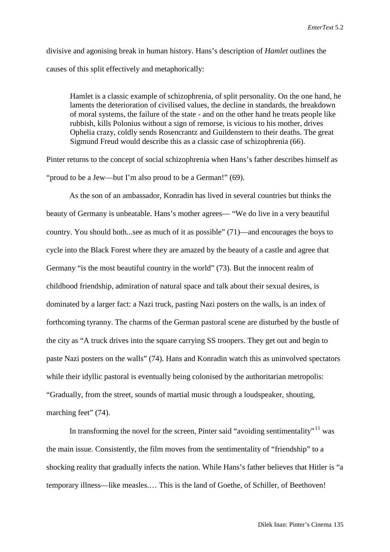divisive and agonising break in human history. Hans's description of *Hamlet* outlines the causes of this split effectively and metaphorically:

Hamlet is a classic example of schizophrenia, of split personality. On the one hand, he laments the deterioration of civilised values, the decline in standards, the breakdown of moral systems, the failure of the state - and on the other hand he treats people like rubbish, kills Polonius without a sign of remorse, is vicious to his mother, drives Ophelia crazy, coldly sends Rosencrantz and Guildenstern to their deaths. The great Sigmund Freud would describe this as a classic case of schizophrenia (66).

Pinter returns to the concept of social schizophrenia when Hans's father describes himself as "proud to be a Jew—but I'm also proud to be a German!" (69).

As the son of an ambassador, Konradin has lived in several countries but thinks the beauty of Germany is unbeatable. Hans's mother agrees— "We do live in a very beautiful country. You should both...see as much of it as possible" (71)—and encourages the boys to cycle into the Black Forest where they are amazed by the beauty of a castle and agree that Germany "is the most beautiful country in the world" (73). But the innocent realm of childhood friendship, admiration of natural space and talk about their sexual desires, is dominated by a larger fact: a Nazi truck, pasting Nazi posters on the walls, is an index of forthcoming tyranny. The charms of the German pastoral scene are disturbed by the bustle of the city as "A truck drives into the square carrying SS troopers. They get out and begin to paste Nazi posters on the walls" (74). Hans and Konradin watch this as uninvolved spectators while their idyllic pastoral is eventually being colonised by the authoritarian metropolis: "Gradually, from the street, sounds of martial music through a loudspeaker, shouting, marching feet" (74).

In transforming the novel for the screen, Pinter said "avoiding sentimentality"<sup>[11](#page-27-10)</sup> was the main issue. Consistently, the film moves from the sentimentality of "friendship" to a shocking reality that gradually infects the nation. While Hans's father believes that Hitler is "a temporary illness—like measles.… This is the land of Goethe, of Schiller, of Beethoven!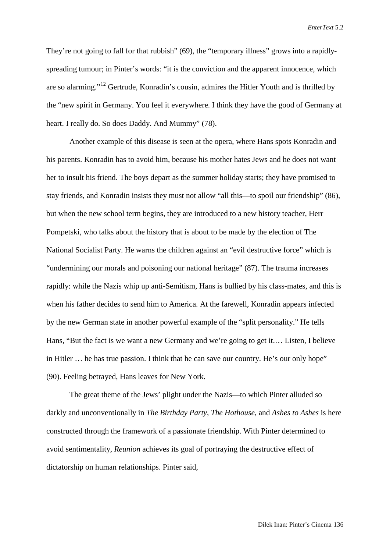They're not going to fall for that rubbish" (69), the "temporary illness" grows into a rapidlyspreading tumour; in Pinter's words: "it is the conviction and the apparent innocence, which are so alarming."<sup>[12](#page-27-11)</sup> Gertrude, Konradin's cousin, admires the Hitler Youth and is thrilled by the "new spirit in Germany. You feel it everywhere. I think they have the good of Germany at heart. I really do. So does Daddy. And Mummy" (78).

Another example of this disease is seen at the opera, where Hans spots Konradin and his parents. Konradin has to avoid him, because his mother hates Jews and he does not want her to insult his friend. The boys depart as the summer holiday starts; they have promised to stay friends, and Konradin insists they must not allow "all this—to spoil our friendship" (86), but when the new school term begins, they are introduced to a new history teacher, Herr Pompetski, who talks about the history that is about to be made by the election of The National Socialist Party. He warns the children against an "evil destructive force" which is "undermining our morals and poisoning our national heritage" (87). The trauma increases rapidly: while the Nazis whip up anti-Semitism, Hans is bullied by his class-mates, and this is when his father decides to send him to America. At the farewell, Konradin appears infected by the new German state in another powerful example of the "split personality." He tells Hans, "But the fact is we want a new Germany and we're going to get it.… Listen, I believe in Hitler … he has true passion. I think that he can save our country. He's our only hope" (90). Feeling betrayed, Hans leaves for New York.

The great theme of the Jews' plight under the Nazis—to which Pinter alluded so darkly and unconventionally in *The Birthday Party*, *The Hothouse*, and *Ashes to Ashes* is here constructed through the framework of a passionate friendship. With Pinter determined to avoid sentimentality, *Reunion* achieves its goal of portraying the destructive effect of dictatorship on human relationships. Pinter said,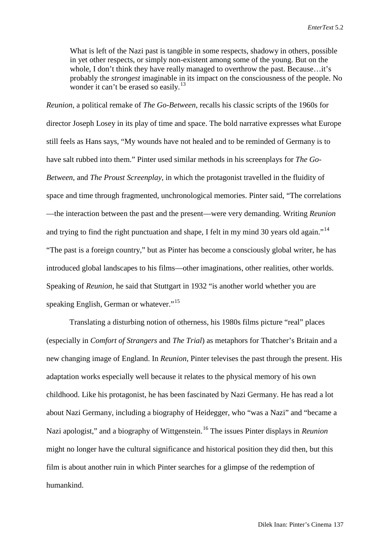What is left of the Nazi past is tangible in some respects, shadowy in others, possible in yet other respects, or simply non-existent among some of the young. But on the whole, I don't think they have really managed to overthrow the past. Because...it's probably the *strongest* imaginable in its impact on the consciousness of the people. No wonder it can't be erased so easily.<sup>[13](#page-27-12)</sup>

*Reunion*, a political remake of *The Go-Between*, recalls his classic scripts of the 1960s for director Joseph Losey in its play of time and space. The bold narrative expresses what Europe still feels as Hans says, "My wounds have not healed and to be reminded of Germany is to have salt rubbed into them." Pinter used similar methods in his screenplays for *The Go-Between*, and *The Proust Screenplay*, in which the protagonist travelled in the fluidity of space and time through fragmented, unchronological memories. Pinter said, "The correlations —the interaction between the past and the present—were very demanding. Writing *Reunion* and trying to find the right punctuation and shape, I felt in my mind 30 years old again."<sup>[14](#page-27-13)</sup> "The past is a foreign country," but as Pinter has become a consciously global writer, he has introduced global landscapes to his films—other imaginations, other realities, other worlds. Speaking of *Reunion*, he said that Stuttgart in 1932 "is another world whether you are speaking English, German or whatever."<sup>[15](#page-27-14)</sup>

Translating a disturbing notion of otherness, his 1980s films picture "real" places (especially in *Comfort of Strangers* and *The Trial*) as metaphors for Thatcher's Britain and a new changing image of England. In *Reunion*, Pinter televises the past through the present. His adaptation works especially well because it relates to the physical memory of his own childhood. Like his protagonist, he has been fascinated by Nazi Germany. He has read a lot about Nazi Germany, including a biography of Heidegger, who "was a Nazi" and "became a Nazi apologist," and a biography of Wittgenstein.[16](#page-27-15) The issues Pinter displays in *Reunion* might no longer have the cultural significance and historical position they did then, but this film is about another ruin in which Pinter searches for a glimpse of the redemption of humankind.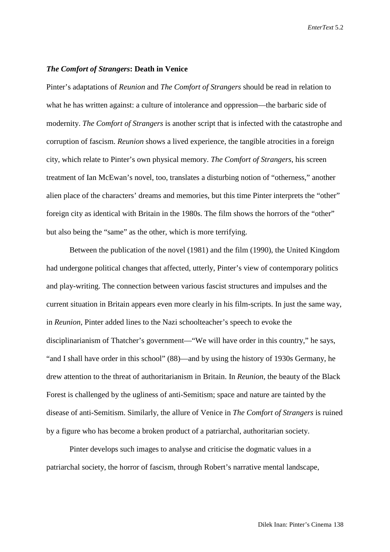### *The Comfort of Strangers***: Death in Venice**

Pinter's adaptations of *Reunion* and *The Comfort of Strangers* should be read in relation to what he has written against: a culture of intolerance and oppression—the barbaric side of modernity. *The Comfort of Strangers* is another script that is infected with the catastrophe and corruption of fascism. *Reunion* shows a lived experience, the tangible atrocities in a foreign city, which relate to Pinter's own physical memory. *The Comfort of Strangers*, his screen treatment of Ian McEwan's novel, too, translates a disturbing notion of "otherness," another alien place of the characters' dreams and memories, but this time Pinter interprets the "other" foreign city as identical with Britain in the 1980s. The film shows the horrors of the "other" but also being the "same" as the other, which is more terrifying.

Between the publication of the novel (1981) and the film (1990), the United Kingdom had undergone political changes that affected, utterly, Pinter's view of contemporary politics and play-writing. The connection between various fascist structures and impulses and the current situation in Britain appears even more clearly in his film-scripts. In just the same way, in *Reunion*, Pinter added lines to the Nazi schoolteacher's speech to evoke the disciplinarianism of Thatcher's government—"We will have order in this country," he says, "and I shall have order in this school" (88)—and by using the history of 1930s Germany, he drew attention to the threat of authoritarianism in Britain. In *Reunion*, the beauty of the Black Forest is challenged by the ugliness of anti-Semitism; space and nature are tainted by the disease of anti-Semitism. Similarly, the allure of Venice in *The Comfort of Strangers* is ruined by a figure who has become a broken product of a patriarchal, authoritarian society.

Pinter develops such images to analyse and criticise the dogmatic values in a patriarchal society, the horror of fascism, through Robert's narrative mental landscape,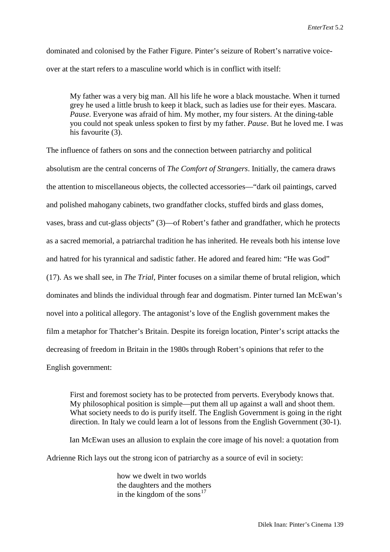dominated and colonised by the Father Figure. Pinter's seizure of Robert's narrative voiceover at the start refers to a masculine world which is in conflict with itself:

My father was a very big man. All his life he wore a black moustache. When it turned grey he used a little brush to keep it black, such as ladies use for their eyes. Mascara. *Pause*. Everyone was afraid of him. My mother, my four sisters. At the dining-table you could not speak unless spoken to first by my father. *Pause*. But he loved me. I was his favourite (3).

The influence of fathers on sons and the connection between patriarchy and political absolutism are the central concerns of *The Comfort of Strangers*. Initially, the camera draws the attention to miscellaneous objects, the collected accessories—"dark oil paintings, carved and polished mahogany cabinets, two grandfather clocks, stuffed birds and glass domes, vases, brass and cut-glass objects" (3)—of Robert's father and grandfather, which he protects as a sacred memorial, a patriarchal tradition he has inherited. He reveals both his intense love and hatred for his tyrannical and sadistic father. He adored and feared him: "He was God" (17). As we shall see, in *The Trial*, Pinter focuses on a similar theme of brutal religion, which dominates and blinds the individual through fear and dogmatism. Pinter turned Ian McEwan's novel into a political allegory. The antagonist's love of the English government makes the film a metaphor for Thatcher's Britain. Despite its foreign location, Pinter's script attacks the decreasing of freedom in Britain in the 1980s through Robert's opinions that refer to the English government:

First and foremost society has to be protected from perverts. Everybody knows that. My philosophical position is simple—put them all up against a wall and shoot them. What society needs to do is purify itself. The English Government is going in the right direction. In Italy we could learn a lot of lessons from the English Government (30-1).

Ian McEwan uses an allusion to explain the core image of his novel: a quotation from Adrienne Rich lays out the strong icon of patriarchy as a source of evil in society:

> how we dwelt in two worlds the daughters and the mothers in the kingdom of the sons<sup>[17](#page-27-16)</sup>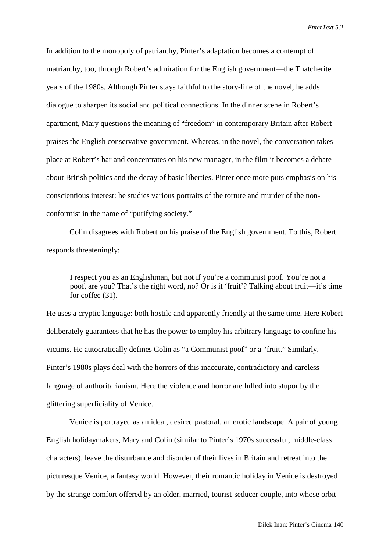In addition to the monopoly of patriarchy, Pinter's adaptation becomes a contempt of matriarchy, too, through Robert's admiration for the English government—the Thatcherite years of the 1980s. Although Pinter stays faithful to the story-line of the novel, he adds dialogue to sharpen its social and political connections. In the dinner scene in Robert's apartment, Mary questions the meaning of "freedom" in contemporary Britain after Robert praises the English conservative government. Whereas, in the novel, the conversation takes place at Robert's bar and concentrates on his new manager, in the film it becomes a debate about British politics and the decay of basic liberties. Pinter once more puts emphasis on his conscientious interest: he studies various portraits of the torture and murder of the nonconformist in the name of "purifying society."

Colin disagrees with Robert on his praise of the English government. To this, Robert responds threateningly:

I respect you as an Englishman, but not if you're a communist poof. You're not a poof, are you? That's the right word, no? Or is it 'fruit'? Talking about fruit—it's time for coffee (31).

He uses a cryptic language: both hostile and apparently friendly at the same time. Here Robert deliberately guarantees that he has the power to employ his arbitrary language to confine his victims. He autocratically defines Colin as "a Communist poof" or a "fruit." Similarly, Pinter's 1980s plays deal with the horrors of this inaccurate, contradictory and careless language of authoritarianism. Here the violence and horror are lulled into stupor by the glittering superficiality of Venice.

Venice is portrayed as an ideal, desired pastoral, an erotic landscape. A pair of young English holidaymakers, Mary and Colin (similar to Pinter's 1970s successful, middle-class characters), leave the disturbance and disorder of their lives in Britain and retreat into the picturesque Venice, a fantasy world. However, their romantic holiday in Venice is destroyed by the strange comfort offered by an older, married, tourist-seducer couple, into whose orbit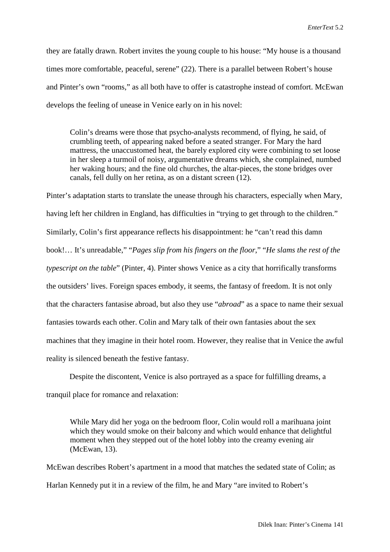they are fatally drawn. Robert invites the young couple to his house: "My house is a thousand times more comfortable, peaceful, serene" (22). There is a parallel between Robert's house and Pinter's own "rooms," as all both have to offer is catastrophe instead of comfort. McEwan develops the feeling of unease in Venice early on in his novel:

Colin's dreams were those that psycho-analysts recommend, of flying, he said, of crumbling teeth, of appearing naked before a seated stranger. For Mary the hard mattress, the unaccustomed heat, the barely explored city were combining to set loose in her sleep a turmoil of noisy, argumentative dreams which, she complained, numbed her waking hours; and the fine old churches, the altar-pieces, the stone bridges over canals, fell dully on her retina, as on a distant screen (12).

Pinter's adaptation starts to translate the unease through his characters, especially when Mary, having left her children in England, has difficulties in "trying to get through to the children." Similarly, Colin's first appearance reflects his disappointment: he "can't read this damn book!… It's unreadable," "*Pages slip from his fingers on the floor*," "*He slams the rest of the typescript on the table*" (Pinter, 4). Pinter shows Venice as a city that horrifically transforms the outsiders' lives. Foreign spaces embody, it seems, the fantasy of freedom. It is not only that the characters fantasise abroad, but also they use "*abroad*" as a space to name their sexual fantasies towards each other. Colin and Mary talk of their own fantasies about the sex machines that they imagine in their hotel room. However, they realise that in Venice the awful reality is silenced beneath the festive fantasy.

Despite the discontent, Venice is also portrayed as a space for fulfilling dreams, a tranquil place for romance and relaxation:

While Mary did her yoga on the bedroom floor, Colin would roll a marihuana joint which they would smoke on their balcony and which would enhance that delightful moment when they stepped out of the hotel lobby into the creamy evening air (McEwan, 13).

McEwan describes Robert's apartment in a mood that matches the sedated state of Colin; as Harlan Kennedy put it in a review of the film, he and Mary "are invited to Robert's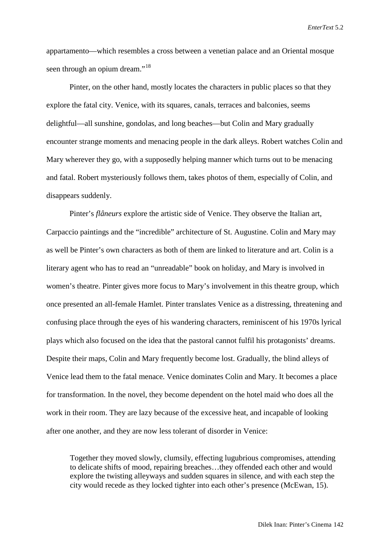appartamento—which resembles a cross between a venetian palace and an Oriental mosque seen through an opium dream."<sup>[18](#page-27-17)</sup>

Pinter, on the other hand, mostly locates the characters in public places so that they explore the fatal city. Venice, with its squares, canals, terraces and balconies, seems delightful—all sunshine, gondolas, and long beaches—but Colin and Mary gradually encounter strange moments and menacing people in the dark alleys. Robert watches Colin and Mary wherever they go, with a supposedly helping manner which turns out to be menacing and fatal. Robert mysteriously follows them, takes photos of them, especially of Colin, and disappears suddenly.

Pinter's *flâneurs* explore the artistic side of Venice. They observe the Italian art, Carpaccio paintings and the "incredible" architecture of St. Augustine. Colin and Mary may as well be Pinter's own characters as both of them are linked to literature and art. Colin is a literary agent who has to read an "unreadable" book on holiday, and Mary is involved in women's theatre. Pinter gives more focus to Mary's involvement in this theatre group, which once presented an all-female Hamlet. Pinter translates Venice as a distressing, threatening and confusing place through the eyes of his wandering characters, reminiscent of his 1970s lyrical plays which also focused on the idea that the pastoral cannot fulfil his protagonists' dreams. Despite their maps, Colin and Mary frequently become lost. Gradually, the blind alleys of Venice lead them to the fatal menace. Venice dominates Colin and Mary. It becomes a place for transformation. In the novel, they become dependent on the hotel maid who does all the work in their room. They are lazy because of the excessive heat, and incapable of looking after one another, and they are now less tolerant of disorder in Venice:

Together they moved slowly, clumsily, effecting lugubrious compromises, attending to delicate shifts of mood, repairing breaches…they offended each other and would explore the twisting alleyways and sudden squares in silence, and with each step the city would recede as they locked tighter into each other's presence (McEwan, 15).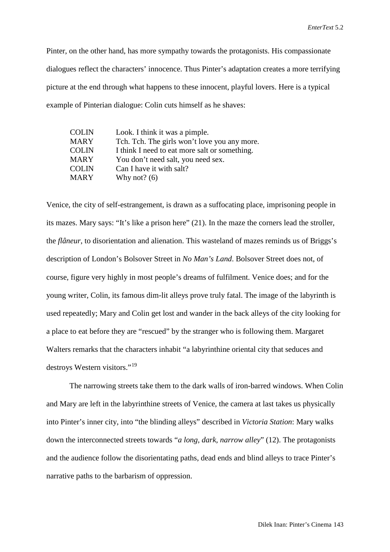Pinter, on the other hand, has more sympathy towards the protagonists. His compassionate dialogues reflect the characters' innocence. Thus Pinter's adaptation creates a more terrifying picture at the end through what happens to these innocent, playful lovers. Here is a typical example of Pinterian dialogue: Colin cuts himself as he shaves:

| COLIN        | Look. I think it was a pimple.                |
|--------------|-----------------------------------------------|
| MARY         | Tch. Tch. The girls won't love you any more.  |
| <b>COLIN</b> | I think I need to eat more salt or something. |
| MARY         | You don't need salt, you need sex.            |
| COLIN        | Can I have it with salt?                      |
| MARY         | Why not? $(6)$                                |
|              |                                               |

Venice, the city of self-estrangement, is drawn as a suffocating place, imprisoning people in its mazes. Mary says: "It's like a prison here" (21). In the maze the corners lead the stroller, the *flâneur*, to disorientation and alienation. This wasteland of mazes reminds us of Briggs's description of London's Bolsover Street in *No Man's Land*. Bolsover Street does not, of course, figure very highly in most people's dreams of fulfilment. Venice does; and for the young writer, Colin, its famous dim-lit alleys prove truly fatal. The image of the labyrinth is used repeatedly; Mary and Colin get lost and wander in the back alleys of the city looking for a place to eat before they are "rescued" by the stranger who is following them. Margaret Walters remarks that the characters inhabit "a labyrinthine oriental city that seduces and destroys Western visitors."[19](#page-27-18)

The narrowing streets take them to the dark walls of iron-barred windows. When Colin and Mary are left in the labyrinthine streets of Venice, the camera at last takes us physically into Pinter's inner city, into "the blinding alleys" described in *Victoria Station*: Mary walks down the interconnected streets towards "*a long, dark, narrow alley*" (12). The protagonists and the audience follow the disorientating paths, dead ends and blind alleys to trace Pinter's narrative paths to the barbarism of oppression.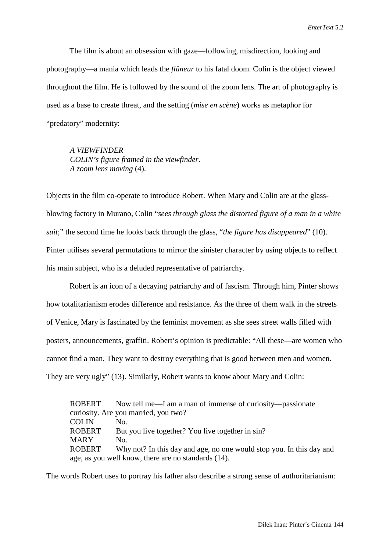The film is about an obsession with gaze—following, misdirection, looking and photography—a mania which leads the *flâneur* to his fatal doom. Colin is the object viewed throughout the film. He is followed by the sound of the zoom lens. The art of photography is used as a base to create threat, and the setting (*mise en scène*) works as metaphor for "predatory" modernity:

*A VIEWFINDER COLIN's figure framed in the viewfinder*. *A zoom lens moving* (4).

Objects in the film co-operate to introduce Robert. When Mary and Colin are at the glassblowing factory in Murano, Colin "*sees through glass the distorted figure of a man in a white suit*;" the second time he looks back through the glass, "*the figure has disappeared*" (10). Pinter utilises several permutations to mirror the sinister character by using objects to reflect his main subject, who is a deluded representative of patriarchy.

Robert is an icon of a decaying patriarchy and of fascism. Through him, Pinter shows how totalitarianism erodes difference and resistance. As the three of them walk in the streets of Venice, Mary is fascinated by the feminist movement as she sees street walls filled with posters, announcements, graffiti. Robert's opinion is predictable: "All these—are women who cannot find a man. They want to destroy everything that is good between men and women. They are very ugly" (13). Similarly, Robert wants to know about Mary and Colin:

ROBERT Now tell me—I am a man of immense of curiosity—passionate curiosity. Are you married, you two? COLIN No. ROBERT But you live together? You live together in sin? MARY No. ROBERT Why not? In this day and age, no one would stop you. In this day and age, as you well know, there are no standards (14).

The words Robert uses to portray his father also describe a strong sense of authoritarianism: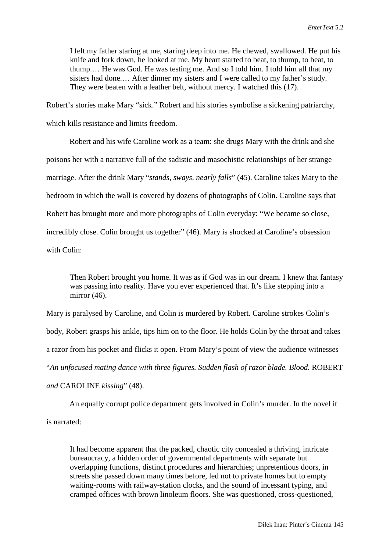I felt my father staring at me, staring deep into me. He chewed, swallowed. He put his knife and fork down, he looked at me. My heart started to beat, to thump, to beat, to thump.… He was God. He was testing me. And so I told him. I told him all that my sisters had done.… After dinner my sisters and I were called to my father's study. They were beaten with a leather belt, without mercy. I watched this (17).

Robert's stories make Mary "sick." Robert and his stories symbolise a sickening patriarchy, which kills resistance and limits freedom.

Robert and his wife Caroline work as a team: she drugs Mary with the drink and she poisons her with a narrative full of the sadistic and masochistic relationships of her strange marriage. After the drink Mary "*stands, sways, nearly falls*" (45). Caroline takes Mary to the bedroom in which the wall is covered by dozens of photographs of Colin. Caroline says that Robert has brought more and more photographs of Colin everyday: "We became so close, incredibly close. Colin brought us together" (46). Mary is shocked at Caroline's obsession with Colin:

Then Robert brought you home. It was as if God was in our dream. I knew that fantasy was passing into reality. Have you ever experienced that. It's like stepping into a mirror (46).

Mary is paralysed by Caroline, and Colin is murdered by Robert. Caroline strokes Colin's body, Robert grasps his ankle, tips him on to the floor. He holds Colin by the throat and takes a razor from his pocket and flicks it open. From Mary's point of view the audience witnesses "*An unfocused mating dance with three figures. Sudden flash of razor blade. Blood.* ROBERT

*and* CAROLINE *kissing*" (48).

An equally corrupt police department gets involved in Colin's murder. In the novel it is narrated:

It had become apparent that the packed, chaotic city concealed a thriving, intricate bureaucracy, a hidden order of governmental departments with separate but overlapping functions, distinct procedures and hierarchies; unpretentious doors, in streets she passed down many times before, led not to private homes but to empty waiting-rooms with railway-station clocks, and the sound of incessant typing, and cramped offices with brown linoleum floors. She was questioned, cross-questioned,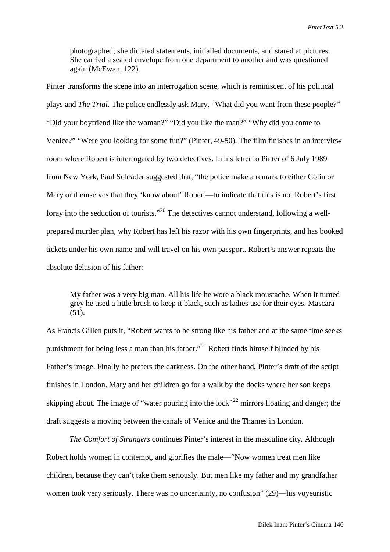photographed; she dictated statements, initialled documents, and stared at pictures. She carried a sealed envelope from one department to another and was questioned again (McEwan, 122).

Pinter transforms the scene into an interrogation scene, which is reminiscent of his political plays and *The Trial*. The police endlessly ask Mary, "What did you want from these people?" "Did your boyfriend like the woman?" "Did you like the man?" "Why did you come to Venice?" "Were you looking for some fun?" (Pinter, 49-50). The film finishes in an interview room where Robert is interrogated by two detectives. In his letter to Pinter of 6 July 1989 from New York, Paul Schrader suggested that, "the police make a remark to either Colin or Mary or themselves that they 'know about' Robert—to indicate that this is not Robert's first foray into the seduction of tourists."[20](#page-27-19) The detectives cannot understand, following a wellprepared murder plan, why Robert has left his razor with his own fingerprints, and has booked tickets under his own name and will travel on his own passport. Robert's answer repeats the absolute delusion of his father:

My father was a very big man. All his life he wore a black moustache. When it turned grey he used a little brush to keep it black, such as ladies use for their eyes. Mascara  $(51)$ .

As Francis Gillen puts it, "Robert wants to be strong like his father and at the same time seeks punishment for being less a man than his father."<sup>[21](#page-27-20)</sup> Robert finds himself blinded by his Father's image. Finally he prefers the darkness. On the other hand, Pinter's draft of the script finishes in London. Mary and her children go for a walk by the docks where her son keeps skipping about. The image of "water pouring into the lock"<sup>[22](#page-27-21)</sup> mirrors floating and danger; the draft suggests a moving between the canals of Venice and the Thames in London.

*The Comfort of Strangers* continues Pinter's interest in the masculine city. Although Robert holds women in contempt, and glorifies the male—"Now women treat men like children, because they can't take them seriously. But men like my father and my grandfather women took very seriously. There was no uncertainty, no confusion" (29)—his voyeuristic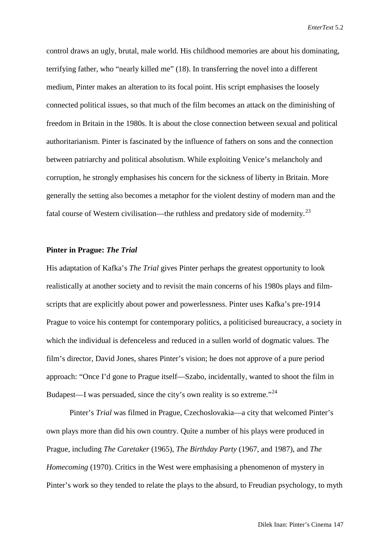control draws an ugly, brutal, male world. His childhood memories are about his dominating, terrifying father, who "nearly killed me" (18). In transferring the novel into a different medium, Pinter makes an alteration to its focal point. His script emphasises the loosely connected political issues, so that much of the film becomes an attack on the diminishing of freedom in Britain in the 1980s. It is about the close connection between sexual and political authoritarianism. Pinter is fascinated by the influence of fathers on sons and the connection between patriarchy and political absolutism. While exploiting Venice's melancholy and corruption, he strongly emphasises his concern for the sickness of liberty in Britain. More generally the setting also becomes a metaphor for the violent destiny of modern man and the fatal course of Western civilisation—the ruthless and predatory side of modernity.<sup>[23](#page-27-22)</sup>

#### **Pinter in Prague:** *The Trial*

His adaptation of Kafka's *The Trial* gives Pinter perhaps the greatest opportunity to look realistically at another society and to revisit the main concerns of his 1980s plays and filmscripts that are explicitly about power and powerlessness. Pinter uses Kafka's pre-1914 Prague to voice his contempt for contemporary politics, a politicised bureaucracy, a society in which the individual is defenceless and reduced in a sullen world of dogmatic values. The film's director, David Jones, shares Pinter's vision; he does not approve of a pure period approach: "Once I'd gone to Prague itself—Szabo, incidentally, wanted to shoot the film in Budapest—I was persuaded, since the city's own reality is so extreme."<sup>[24](#page-27-23)</sup>

Pinter's *Trial* was filmed in Prague, Czechoslovakia—a city that welcomed Pinter's own plays more than did his own country. Quite a number of his plays were produced in Prague, including *The Caretaker* (1965), *The Birthday Party* (1967, and 1987), and *The Homecoming* (1970). Critics in the West were emphasising a phenomenon of mystery in Pinter's work so they tended to relate the plays to the absurd, to Freudian psychology, to myth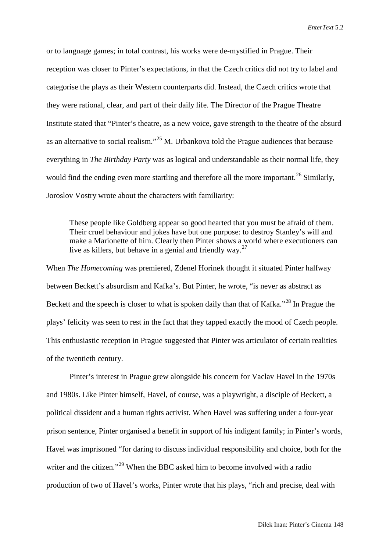or to language games; in total contrast, his works were de-mystified in Prague. Their reception was closer to Pinter's expectations, in that the Czech critics did not try to label and categorise the plays as their Western counterparts did. Instead, the Czech critics wrote that they were rational, clear, and part of their daily life. The Director of the Prague Theatre Institute stated that "Pinter's theatre, as a new voice, gave strength to the theatre of the absurd as an alternative to social realism."[25](#page-27-24) M. Urbankova told the Prague audiences that because everything in *The Birthday Party* was as logical and understandable as their normal life, they would find the ending even more startling and therefore all the more important.<sup>[26](#page-27-25)</sup> Similarly, Joroslov Vostry wrote about the characters with familiarity:

These people like Goldberg appear so good hearted that you must be afraid of them. Their cruel behaviour and jokes have but one purpose: to destroy Stanley's will and make a Marionette of him. Clearly then Pinter shows a world where executioners can live as killers, but behave in a genial and friendly way.<sup>[27](#page-27-26)</sup>

When *The Homecoming* was premiered, Zdenel Horinek thought it situated Pinter halfway between Beckett's absurdism and Kafka's. But Pinter, he wrote, "is never as abstract as Beckett and the speech is closer to what is spoken daily than that of Kafka."<sup>[28](#page-27-27)</sup> In Prague the plays' felicity was seen to rest in the fact that they tapped exactly the mood of Czech people. This enthusiastic reception in Prague suggested that Pinter was articulator of certain realities of the twentieth century.

Pinter's interest in Prague grew alongside his concern for Vaclav Havel in the 1970s and 1980s. Like Pinter himself, Havel, of course, was a playwright, a disciple of Beckett, a political dissident and a human rights activist. When Havel was suffering under a four-year prison sentence, Pinter organised a benefit in support of his indigent family; in Pinter's words, Havel was imprisoned "for daring to discuss individual responsibility and choice, both for the writer and the citizen."<sup>[29](#page-27-28)</sup> When the BBC asked him to become involved with a radio production of two of Havel's works, Pinter wrote that his plays, "rich and precise, deal with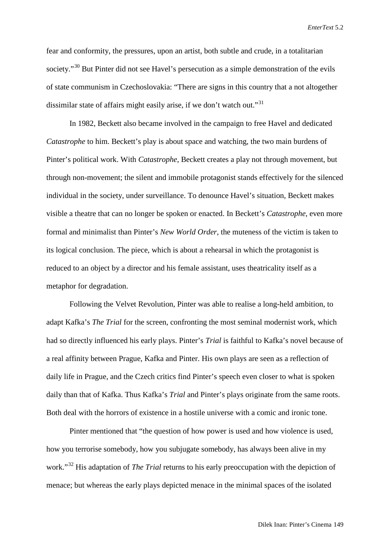fear and conformity, the pressures, upon an artist, both subtle and crude, in a totalitarian society."<sup>[30](#page-27-29)</sup> But Pinter did not see Havel's persecution as a simple demonstration of the evils of state communism in Czechoslovakia: "There are signs in this country that a not altogether dissimilar state of affairs might easily arise, if we don't watch out."<sup>[31](#page-27-30)</sup>

In 1982, Beckett also became involved in the campaign to free Havel and dedicated *Catastrophe* to him. Beckett's play is about space and watching, the two main burdens of Pinter's political work. With *Catastrophe*, Beckett creates a play not through movement, but through non-movement; the silent and immobile protagonist stands effectively for the silenced individual in the society, under surveillance. To denounce Havel's situation, Beckett makes visible a theatre that can no longer be spoken or enacted. In Beckett's *Catastrophe*, even more formal and minimalist than Pinter's *New World Order*, the muteness of the victim is taken to its logical conclusion. The piece, which is about a rehearsal in which the protagonist is reduced to an object by a director and his female assistant, uses theatricality itself as a metaphor for degradation.

Following the Velvet Revolution, Pinter was able to realise a long-held ambition, to adapt Kafka's *The Trial* for the screen, confronting the most seminal modernist work, which had so directly influenced his early plays. Pinter's *Trial* is faithful to Kafka's novel because of a real affinity between Prague, Kafka and Pinter. His own plays are seen as a reflection of daily life in Prague, and the Czech critics find Pinter's speech even closer to what is spoken daily than that of Kafka. Thus Kafka's *Trial* and Pinter's plays originate from the same roots. Both deal with the horrors of existence in a hostile universe with a comic and ironic tone.

Pinter mentioned that "the question of how power is used and how violence is used, how you terrorise somebody, how you subjugate somebody, has always been alive in my work."[32](#page-27-31) His adaptation of *The Trial* returns to his early preoccupation with the depiction of menace; but whereas the early plays depicted menace in the minimal spaces of the isolated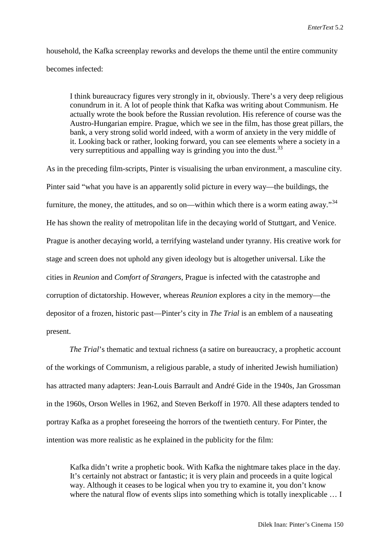household, the Kafka screenplay reworks and develops the theme until the entire community becomes infected:

I think bureaucracy figures very strongly in it, obviously. There's a very deep religious conundrum in it. A lot of people think that Kafka was writing about Communism. He actually wrote the book before the Russian revolution. His reference of course was the Austro-Hungarian empire. Prague, which we see in the film, has those great pillars, the bank, a very strong solid world indeed, with a worm of anxiety in the very middle of it. Looking back or rather, looking forward, you can see elements where a society in a very surreptitious and appalling way is grinding you into the dust.  $33$ 

As in the preceding film-scripts, Pinter is visualising the urban environment, a masculine city. Pinter said "what you have is an apparently solid picture in every way—the buildings, the furniture, the money, the attitudes, and so on—within which there is a worm eating away."<sup>[34](#page-27-33)</sup> He has shown the reality of metropolitan life in the decaying world of Stuttgart, and Venice. Prague is another decaying world, a terrifying wasteland under tyranny. His creative work for stage and screen does not uphold any given ideology but is altogether universal. Like the cities in *Reunion* and *Comfort of Strangers*, Prague is infected with the catastrophe and corruption of dictatorship. However, whereas *Reunion* explores a city in the memory—the depositor of a frozen, historic past—Pinter's city in *The Trial* is an emblem of a nauseating present.

*The Trial*'s thematic and textual richness (a satire on bureaucracy, a prophetic account of the workings of Communism, a religious parable, a study of inherited Jewish humiliation) has attracted many adapters: Jean-Louis Barrault and André Gide in the 1940s, Jan Grossman in the 1960s, Orson Welles in 1962, and Steven Berkoff in 1970. All these adapters tended to portray Kafka as a prophet foreseeing the horrors of the twentieth century. For Pinter, the intention was more realistic as he explained in the publicity for the film:

Kafka didn't write a prophetic book. With Kafka the nightmare takes place in the day. It's certainly not abstract or fantastic; it is very plain and proceeds in a quite logical way. Although it ceases to be logical when you try to examine it, you don't know where the natural flow of events slips into something which is totally inexplicable ... I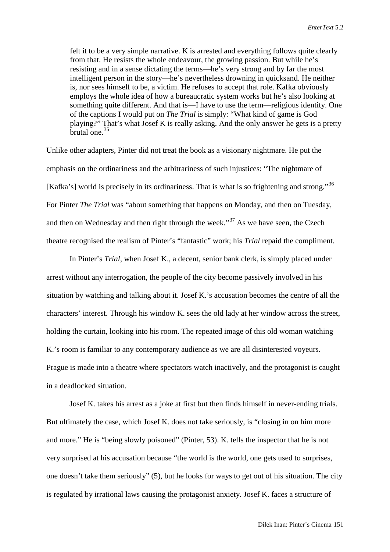felt it to be a very simple narrative. K is arrested and everything follows quite clearly from that. He resists the whole endeavour, the growing passion. But while he's resisting and in a sense dictating the terms—he's very strong and by far the most intelligent person in the story—he's nevertheless drowning in quicksand. He neither is, nor sees himself to be, a victim. He refuses to accept that role. Kafka obviously employs the whole idea of how a bureaucratic system works but he's also looking at something quite different. And that is—I have to use the term—religious identity. One of the captions I would put on *The Trial* is simply: "What kind of game is God playing?" That's what Josef K is really asking. And the only answer he gets is a pretty brutal one.<sup>[35](#page-27-34)</sup>

Unlike other adapters, Pinter did not treat the book as a visionary nightmare. He put the emphasis on the ordinariness and the arbitrariness of such injustices: "The nightmare of [Kafka's] world is precisely in its ordinariness. That is what is so frightening and strong."<sup>[36](#page-27-35)</sup> For Pinter *The Trial* was "about something that happens on Monday, and then on Tuesday, and then on Wednesday and then right through the week."<sup>[37](#page-27-36)</sup> As we have seen, the Czech theatre recognised the realism of Pinter's "fantastic" work; his *Trial* repaid the compliment.

In Pinter's *Trial*, when Josef K., a decent, senior bank clerk, is simply placed under arrest without any interrogation, the people of the city become passively involved in his situation by watching and talking about it. Josef K.'s accusation becomes the centre of all the characters' interest. Through his window K. sees the old lady at her window across the street, holding the curtain, looking into his room. The repeated image of this old woman watching K.'s room is familiar to any contemporary audience as we are all disinterested voyeurs. Prague is made into a theatre where spectators watch inactively, and the protagonist is caught in a deadlocked situation.

Josef K. takes his arrest as a joke at first but then finds himself in never-ending trials. But ultimately the case, which Josef K. does not take seriously, is "closing in on him more and more." He is "being slowly poisoned" (Pinter, 53). K. tells the inspector that he is not very surprised at his accusation because "the world is the world, one gets used to surprises, one doesn't take them seriously" (5), but he looks for ways to get out of his situation. The city is regulated by irrational laws causing the protagonist anxiety. Josef K. faces a structure of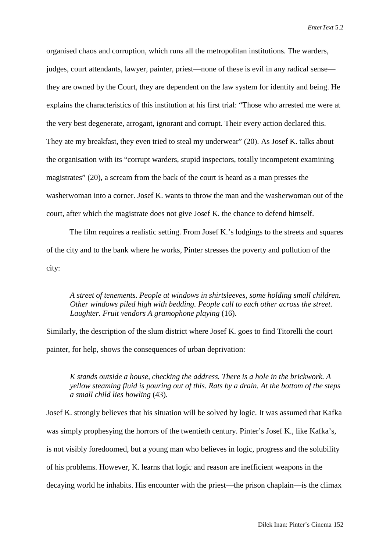organised chaos and corruption, which runs all the metropolitan institutions. The warders, judges, court attendants, lawyer, painter, priest—none of these is evil in any radical sense they are owned by the Court, they are dependent on the law system for identity and being. He explains the characteristics of this institution at his first trial: "Those who arrested me were at the very best degenerate, arrogant, ignorant and corrupt. Their every action declared this. They ate my breakfast, they even tried to steal my underwear" (20). As Josef K. talks about the organisation with its "corrupt warders, stupid inspectors, totally incompetent examining magistrates" (20), a scream from the back of the court is heard as a man presses the washerwoman into a corner. Josef K. wants to throw the man and the washerwoman out of the court, after which the magistrate does not give Josef K. the chance to defend himself.

The film requires a realistic setting. From Josef K.'s lodgings to the streets and squares of the city and to the bank where he works, Pinter stresses the poverty and pollution of the city:

*A street of tenements. People at windows in shirtsleeves, some holding small children. Other windows piled high with bedding. People call to each other across the street. Laughter. Fruit vendors A gramophone playing* (16).

Similarly, the description of the slum district where Josef K. goes to find Titorelli the court painter, for help, shows the consequences of urban deprivation:

*K stands outside a house, checking the address. There is a hole in the brickwork. A yellow steaming fluid is pouring out of this. Rats by a drain. At the bottom of the steps a small child lies howling* (43).

Josef K. strongly believes that his situation will be solved by logic. It was assumed that Kafka was simply prophesying the horrors of the twentieth century. Pinter's Josef K., like Kafka's, is not visibly foredoomed, but a young man who believes in logic, progress and the solubility of his problems. However, K. learns that logic and reason are inefficient weapons in the decaying world he inhabits. His encounter with the priest—the prison chaplain—is the climax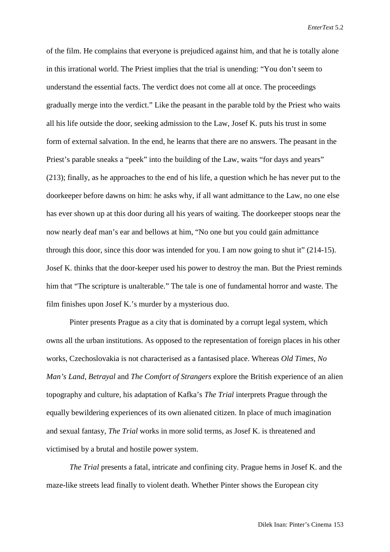of the film. He complains that everyone is prejudiced against him, and that he is totally alone in this irrational world. The Priest implies that the trial is unending: "You don't seem to understand the essential facts. The verdict does not come all at once. The proceedings gradually merge into the verdict." Like the peasant in the parable told by the Priest who waits all his life outside the door, seeking admission to the Law, Josef K. puts his trust in some form of external salvation. In the end, he learns that there are no answers. The peasant in the Priest's parable sneaks a "peek" into the building of the Law, waits "for days and years" (213); finally, as he approaches to the end of his life, a question which he has never put to the doorkeeper before dawns on him: he asks why, if all want admittance to the Law, no one else has ever shown up at this door during all his years of waiting. The doorkeeper stoops near the now nearly deaf man's ear and bellows at him, "No one but you could gain admittance through this door, since this door was intended for you. I am now going to shut it" (214-15). Josef K. thinks that the door-keeper used his power to destroy the man. But the Priest reminds him that "The scripture is unalterable." The tale is one of fundamental horror and waste. The film finishes upon Josef K.'s murder by a mysterious duo.

Pinter presents Prague as a city that is dominated by a corrupt legal system, which owns all the urban institutions. As opposed to the representation of foreign places in his other works, Czechoslovakia is not characterised as a fantasised place. Whereas *Old Times*, *No Man's Land*, *Betrayal* and *The Comfort of Strangers* explore the British experience of an alien topography and culture, his adaptation of Kafka's *The Trial* interprets Prague through the equally bewildering experiences of its own alienated citizen. In place of much imagination and sexual fantasy, *The Trial* works in more solid terms, as Josef K. is threatened and victimised by a brutal and hostile power system.

*The Trial* presents a fatal, intricate and confining city. Prague hems in Josef K. and the maze-like streets lead finally to violent death. Whether Pinter shows the European city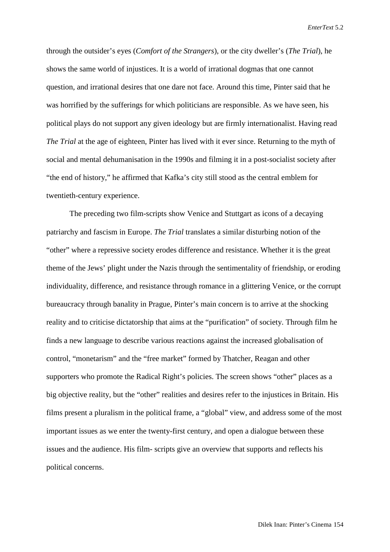through the outsider's eyes (*Comfort of the Strangers*), or the city dweller's (*The Trial*), he shows the same world of injustices. It is a world of irrational dogmas that one cannot question, and irrational desires that one dare not face. Around this time, Pinter said that he was horrified by the sufferings for which politicians are responsible. As we have seen, his political plays do not support any given ideology but are firmly internationalist. Having read *The Trial* at the age of eighteen, Pinter has lived with it ever since. Returning to the myth of social and mental dehumanisation in the 1990s and filming it in a post-socialist society after "the end of history," he affirmed that Kafka's city still stood as the central emblem for twentieth-century experience.

The preceding two film-scripts show Venice and Stuttgart as icons of a decaying patriarchy and fascism in Europe. *The Trial* translates a similar disturbing notion of the "other" where a repressive society erodes difference and resistance. Whether it is the great theme of the Jews' plight under the Nazis through the sentimentality of friendship, or eroding individuality, difference, and resistance through romance in a glittering Venice, or the corrupt bureaucracy through banality in Prague, Pinter's main concern is to arrive at the shocking reality and to criticise dictatorship that aims at the "purification" of society. Through film he finds a new language to describe various reactions against the increased globalisation of control, "monetarism" and the "free market" formed by Thatcher, Reagan and other supporters who promote the Radical Right's policies. The screen shows "other" places as a big objective reality, but the "other" realities and desires refer to the injustices in Britain. His films present a pluralism in the political frame, a "global" view, and address some of the most important issues as we enter the twenty-first century, and open a dialogue between these issues and the audience. His film- scripts give an overview that supports and reflects his political concerns.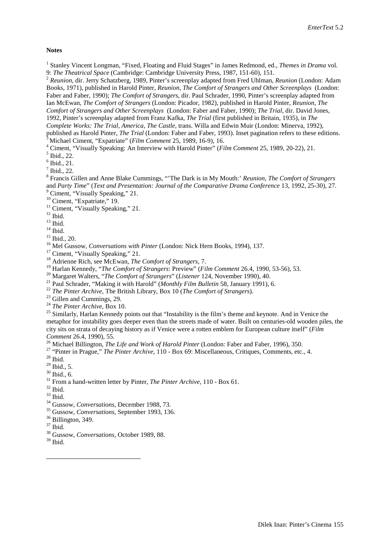#### **Notes**

<sup>1</sup> Stanley Vincent Longman, "Fixed, Floating and Fluid Stages" in James Redmond, ed., *Themes in Drama* vol.<br>9: *The Theatrical Space* (Cambridge: Cambridge University Press, 1987, 151-60), 151.

<sup>2</sup> Reunion, dir. Jerry Schatzberg, 1989, Pinter's screenplay adapted from Fred Uhlman, *Reunion* (London: Adam Books, 1971), published in Harold Pinter, *Reunion*, *The Comfort of Strangers and Other Screenplays* (London: Faber and Faber, 1990); *The Comfort of Strangers,* dir. Paul Schrader, 1990, Pinter's screenplay adapted from Ian McEwan, *The Comfort of Strangers* (London: Picador, 1982), published in Harold Pinter, *Reunion*, *The Comfort of Strangers and Other Screenplays* (London: Faber and Faber, 1990); *The Trial,* dir. David Jones, 1992, Pinter's screenplay adapted from Franz Kafka, *The Trial* (first published in Britain, 1935), in *The Complete Works: The Trial, America, The Castle, trans. Willa and Edwin Muir (London: Minerva, 1992), published as Harold Pinter, <i>The Trial (London: Faber and Faber, 1993)*. Inset pagination refers to these editions.

<sup>3</sup> Michael Ciment, "Expatriate" (*Film Comment* 25, 1989, 16-9), 16.<br>
<sup>4</sup> Ciment, "Visually Speaking: An Interview with Harold Pinter" (*Film Comment* 25, 1989, 20-22), 21.<br>
<sup>5</sup> Ibid., 22.<br>
<sup>7</sup> Ibid., 22.<br>
<sup>7</sup> Ibid., 22. and *Party Time*" (*Text and Presentation: Journal of the Comparative Drama Conference* 13, 1992, 25-30), 27.<br>
<sup>9</sup> Ciment, "Expatriate," 19.<br>
<sup>10</sup> Ciment, "Expatriate," 19.<br>
<sup>12</sup> Ciment, "Visually Speaking," 21.<br>
<sup>12</sup> Ibid

- 
- 
- 
- 

- 
- 
- 
- <sup>19</sup> Harlan Kennedy, "*The Comfort of Strangers*: Preview" (*Film Comment* 26.4, 1990, 53-56), 53.<br>
<sup>20</sup> Margaret Walters, "*The Comfort of Strangers*" (*Listener* 124, November 1990), 40.<br>
<sup>21</sup> Paul Schrader, "Making it
- 
- 
- 

metaphor for instability goes deeper even than the streets made of water. Built on centuries-old wooden piles, the city sits on strata of decaying history as if Venice were a rotten emblem for European culture itself" (*Film Comment* 26.4, 1990), 55.<br><sup>26</sup> Michael Billington, *The Life and Work of Harold Pinter* (London: Faber and Faber, 1996), 350.<br><sup>27</sup> "Pinter in Prague," *The Pinter Archive*, 110 - Box 69: Miscellaneous, Critiques, Comment

- 
- <sup>29</sup> Ibid., 5.<br><sup>30</sup> Ibid., 6.<br><sup>31</sup> From a hand-written letter by Pinter, *The Pinter Archive*, 110 Box 61.<br><sup>32</sup> Ibid.<br><sup>33</sup> Gussow, *Conversations*, December 1988, 73.<br><sup>35</sup> Gussow, *Conversations*, September 1993, 136.<br><sup></sup>
- 
- 
- 
- 
- 
- 
- 
- $39$  Ibid.

 $\overline{a}$